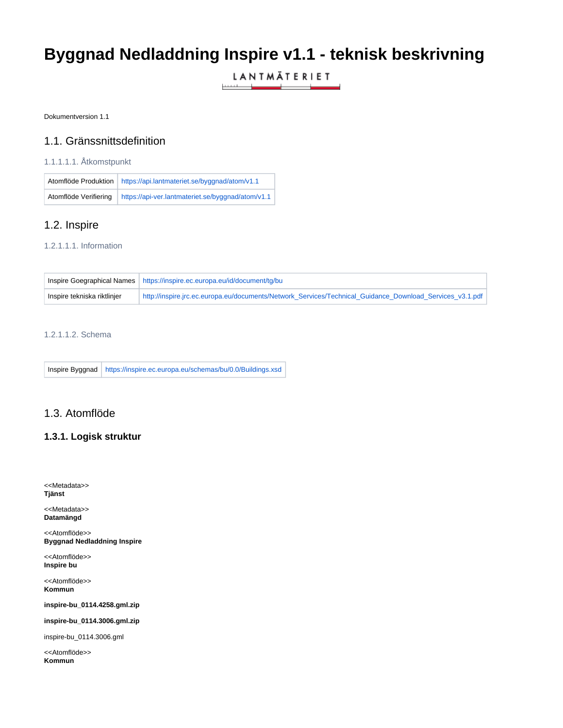# **Byggnad Nedladdning Inspire v1.1 - teknisk beskrivning**

LANTMÄTERIET والمتمس

Dokumentversion 1.1

### 1.1. Gränssnittsdefinition

#### 1.1.1.1.1. Åtkomstpunkt

|                       | Atomflöde Produktion   https://api.lantmateriet.se/byggnad/atom/v1.1 |
|-----------------------|----------------------------------------------------------------------|
| Atomflöde Verifiering | https://api-ver.lantmateriet.se/byggnad/atom/v1.1                    |

# 1.2. Inspire

#### 1.2.1.1.1. Information

|                             | Inspire Goegraphical Names   https://inspire.ec.europa.eu/id/document/tg/bu                              |
|-----------------------------|----------------------------------------------------------------------------------------------------------|
| Inspire tekniska riktlinjer | http://inspire.jrc.ec.europa.eu/documents/Network_Services/Technical_Guidance_Download_Services_v3.1.pdf |

## 1.2.1.1.2. Schema

Inspire Byggnad <https://inspire.ec.europa.eu/schemas/bu/0.0/Buildings.xsd>

## 1.3. Atomflöde

#### **1.3.1. Logisk struktur**

<<Metadata>> **Tjänst**

<<Metadata>> **Datamängd**

<<Atomflöde>> **Byggnad Nedladdning Inspire**

<<Atomflöde>> **Inspire bu**

<<Atomflöde>> **Kommun**

**inspire-bu\_0114.4258.gml.zip**

**inspire-bu\_0114.3006.gml.zip**

inspire-bu\_0114.3006.gml

<<Atomflöde>> **Kommun**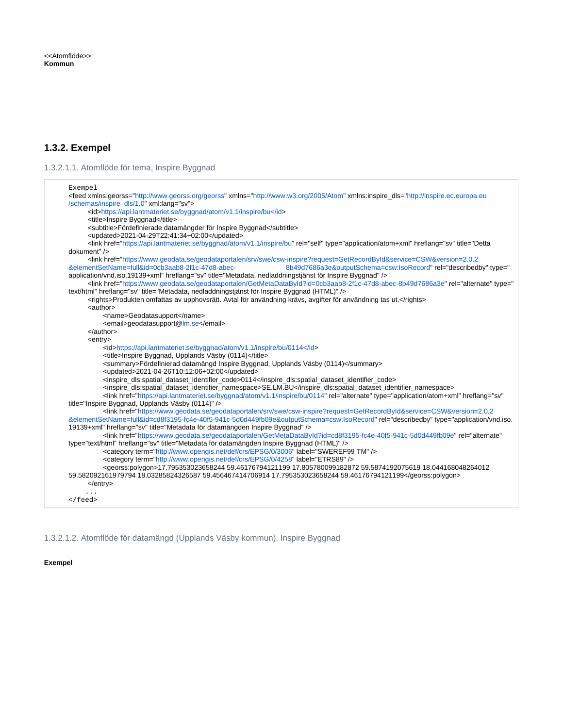# **1.3.2. Exempel**

1.3.2.1.1. Atomflöde för tema, Inspire Byggnad

| Exempel                                                                                                                                                                                                                                                                                                                                                                                                                                                          |
|------------------------------------------------------------------------------------------------------------------------------------------------------------------------------------------------------------------------------------------------------------------------------------------------------------------------------------------------------------------------------------------------------------------------------------------------------------------|
| <feed xml:lang="sv" xmlns="http://www.w3.org/2005/Atom" xmlns:georss="http://www.georss.org/georss" xmlns:inspire_dls="http://inspire.ec.europa.eu&lt;/th&gt;&lt;/tr&gt;&lt;tr&gt;&lt;th&gt;/schemas/inspire dls/1.0"></feed>                                                                                                                                                                                                                                    |
| <id>https://api.lantmateriet.se/byggnad/atom/v1.1/inspire/bu</id>                                                                                                                                                                                                                                                                                                                                                                                                |
| <title>Inspire Byggnad</title><br><subtitle>Fördefinierade datamängder för Inspire Byggnad</subtitle>                                                                                                                                                                                                                                                                                                                                                            |
| <updated>2021-04-29T22:41:34+02:00</updated>                                                                                                                                                                                                                                                                                                                                                                                                                     |
| <link href="https://api.lantmateriet.se/byggnad/atom/v1.1/inspire/bu" hreflang="sv" rel="self" title="Detta&lt;/th&gt;&lt;/tr&gt;&lt;tr&gt;&lt;th&gt;dokument" type="application/atom+xml"/>                                                                                                                                                                                                                                                                     |
| <link href="https://www.geodata.se/geodataportalen/srv/swe/csw-inspire?request=GetRecordById&amp;service=CSW&amp;version=2.0.2&lt;/th&gt;&lt;/tr&gt;&lt;tr&gt;&lt;th&gt;&amp;elementSetName=full&amp;id=0cb3aab8-2f1c-47d8-abec-&lt;br&gt;8b49d7686a3e&amp;outputSchema=csw:IsoRecord" hreflang="sv" rel="describedby" title="Metadata, nedladdningstjänst för Inspire Byggnad" type="&lt;/th&gt;&lt;/tr&gt;&lt;tr&gt;&lt;th&gt;application/vnd.iso.19139+xml"/> |
| <link href="https://www.geodata.se/geodataportalen/GetMetaDataById?id=0cb3aab8-2f1c-47d8-abec-8b49d7686a3e" hreflang="sv" rel="alternate" title="Metadata, nedladdningstjänst för Inspire Byggnad (HTML)" type="&lt;/th&gt;&lt;/tr&gt;&lt;tr&gt;&lt;th&gt;text/html"/>                                                                                                                                                                                           |
| <rights>Produkten omfattas av upphovsrätt. Avtal för användning krävs, avgifter för användning tas ut.</rights>                                                                                                                                                                                                                                                                                                                                                  |
| <author></author>                                                                                                                                                                                                                                                                                                                                                                                                                                                |
| <name>Geodatasupport</name><br><email>geodatasupport@lm.se</email>                                                                                                                                                                                                                                                                                                                                                                                               |
| $\alpha$ /author                                                                                                                                                                                                                                                                                                                                                                                                                                                 |
| <entry></entry>                                                                                                                                                                                                                                                                                                                                                                                                                                                  |
| <id>https://api.lantmateriet.se/byggnad/atom/v1.1/inspire/bu/0114</id>                                                                                                                                                                                                                                                                                                                                                                                           |
| <title>Inspire Byggnad, Upplands Väsby (0114)</title>                                                                                                                                                                                                                                                                                                                                                                                                            |
| <summary>Fördefinierad datamängd Inspire Byggnad, Upplands Väsby (0114)</summary>                                                                                                                                                                                                                                                                                                                                                                                |
| <updated>2021-04-26T10:12:06+02:00</updated>                                                                                                                                                                                                                                                                                                                                                                                                                     |
| <inspire_dls:spatial_dataset_identifier_code>0114</inspire_dls:spatial_dataset_identifier_code>                                                                                                                                                                                                                                                                                                                                                                  |
| <inspire_dls:spatial_dataset_identifier_namespace>SE.LM.BU</inspire_dls:spatial_dataset_identifier_namespace>                                                                                                                                                                                                                                                                                                                                                    |
| <link <br="" href="https://api.lantmateriet.se/byggnad/atom/v1.1/inspire/bu/0114" hreflang="sv" rel="alternate" type="application/atom+xml"/> title="Inspire Byggnad, Upplands Väsby (0114)" />                                                                                                                                                                                                                                                                  |
| <link href="https://www.geodata.se/geodataportalen/srv/swe/csw-inspire?request=GetRecordById&amp;service=CSW&amp;version=2.0.2&lt;/th&gt;&lt;/tr&gt;&lt;tr&gt;&lt;th&gt;&amp;elementSetName=full&amp;id=cd8f3195-fc4e-40f5-941c-5d0d449fb09e&amp;outputSchema=csw:IsoRecord" hreflang="sv" rel="describedby" title="Metadata för datamängden Inspire Byggnad" type="application/vnd.iso.&lt;/th&gt;&lt;/tr&gt;&lt;tr&gt;&lt;th&gt;19139+xml"/>                   |
| <link <="" href="https://www.qeodata.se/qeodataportalen/GetMetaDataById?id=cd8f3195-fc4e-40f5-941c-5d0d449fb09e" rel="alternate" th=""/>                                                                                                                                                                                                                                                                                                                         |
| type="text/html" hreflang="sv" title="Metadata för datamängden Inspire Byggnad (HTML)" />                                                                                                                                                                                                                                                                                                                                                                        |
| <category label="SWEREF99 TM" term="http://www.opengis.net/def/crs/EPSG/0/3006"></category>                                                                                                                                                                                                                                                                                                                                                                      |
| <category label="ETRS89" term="http://www.opengis.net/def/crs/EPSG/0/4258"></category>                                                                                                                                                                                                                                                                                                                                                                           |
| <georss:polygon>17.795353023658244 59.46176794121199 17.805780099182872 59.5874192075619 18.044168048264012</georss:polygon>                                                                                                                                                                                                                                                                                                                                     |
| 59.582092161979794 18.03285824326587 59.456467414706914 17.795353023658244 59.46176794121199<br>$\alpha$ /entry>                                                                                                                                                                                                                                                                                                                                                 |
|                                                                                                                                                                                                                                                                                                                                                                                                                                                                  |
| $\langle$ / feed>                                                                                                                                                                                                                                                                                                                                                                                                                                                |
|                                                                                                                                                                                                                                                                                                                                                                                                                                                                  |

1.3.2.1.2. Atomflöde för datamängd (Upplands Väsby kommun), Inspire Byggnad

**Exempel**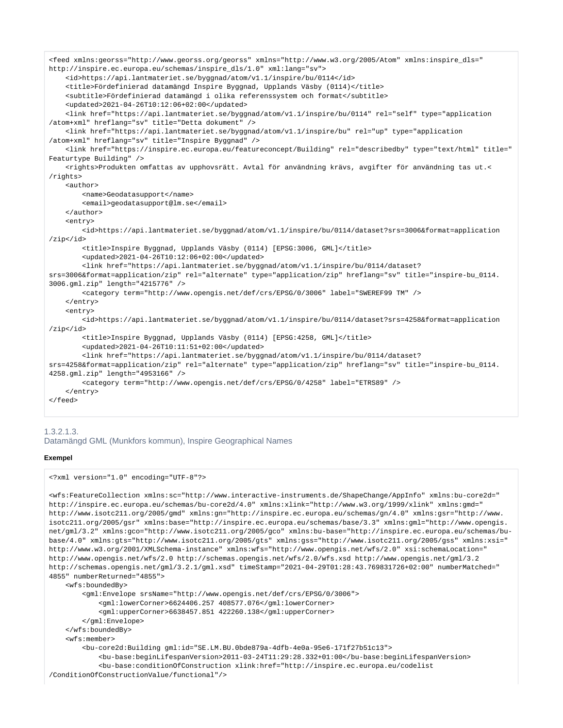```
<feed xmlns:georss="http://www.georss.org/georss" xmlns="http://www.w3.org/2005/Atom" xmlns:inspire_dls="
http://inspire.ec.europa.eu/schemas/inspire_dls/1.0" xml:lang="sv">
     <id>https://api.lantmateriet.se/byggnad/atom/v1.1/inspire/bu/0114</id>
     <title>Fördefinierad datamängd Inspire Byggnad, Upplands Väsby (0114)</title>
     <subtitle>Fördefinierad datamängd i olika referenssystem och format</subtitle>
     <updated>2021-04-26T10:12:06+02:00</updated>
     <link href="https://api.lantmateriet.se/byggnad/atom/v1.1/inspire/bu/0114" rel="self" type="application
/atom+xml" hreflang="sv" title="Detta dokument" />
     <link href="https://api.lantmateriet.se/byggnad/atom/v1.1/inspire/bu" rel="up" type="application
/atom+xml" hreflang="sv" title="Inspire Byggnad" />
     <link href="https://inspire.ec.europa.eu/featureconcept/Building" rel="describedby" type="text/html" title="
Featurtype Building" />
     <rights>Produkten omfattas av upphovsrätt. Avtal för användning krävs, avgifter för användning tas ut.<
/rights>
     <author>
         <name>Geodatasupport</name>
         <email>geodatasupport@lm.se</email>
     </author>
     <entry>
         <id>https://api.lantmateriet.se/byggnad/atom/v1.1/inspire/bu/0114/dataset?srs=3006&format=application
/zip</id>
         <title>Inspire Byggnad, Upplands Väsby (0114) [EPSG:3006, GML]</title>
         <updated>2021-04-26T10:12:06+02:00</updated>
         <link href="https://api.lantmateriet.se/byggnad/atom/v1.1/inspire/bu/0114/dataset?
srs=3006&format=application/zip" rel="alternate" type="application/zip" hreflang="sv" title="inspire-bu 0114.
3006.gml.zip" length="4215776" />
         <category term="http://www.opengis.net/def/crs/EPSG/0/3006" label="SWEREF99 TM" />
     </entry>
     <entry>
         <id>https://api.lantmateriet.se/byggnad/atom/v1.1/inspire/bu/0114/dataset?srs=4258&format=application
/zip</id>
         <title>Inspire Byggnad, Upplands Väsby (0114) [EPSG:4258, GML]</title>
         <updated>2021-04-26T10:11:51+02:00</updated>
         <link href="https://api.lantmateriet.se/byggnad/atom/v1.1/inspire/bu/0114/dataset?
srs=4258&format=application/zip" rel="alternate" type="application/zip" hreflang="sv" title="inspire-bu_0114.
4258.gml.zip" length="4953166" />
         <category term="http://www.opengis.net/def/crs/EPSG/0/4258" label="ETRS89" />
     </entry>
</feed>
```
#### 1.3.2.1.3. Datamängd GML (Munkfors kommun), Inspire Geographical Names

#### **Exempel**

```
<?xml version="1.0" encoding="UTF-8"?>
```

```
<wfs:FeatureCollection xmlns:sc="http://www.interactive-instruments.de/ShapeChange/AppInfo" xmlns:bu-core2d="
http://inspire.ec.europa.eu/schemas/bu-core2d/4.0" xmlns:xlink="http://www.w3.org/1999/xlink" xmlns:gmd="
http://www.isotc211.org/2005/gmd" xmlns:gn="http://inspire.ec.europa.eu/schemas/gn/4.0" xmlns:gsr="http://www.
isotc211.org/2005/gsr" xmlns:base="http://inspire.ec.europa.eu/schemas/base/3.3" xmlns:gml="http://www.opengis.
net/gml/3.2" xmlns:gco="http://www.isotc211.org/2005/gco" xmlns:bu-base="http://inspire.ec.europa.eu/schemas/bu-
base/4.0" xmlns:gts="http://www.isotc211.org/2005/gts" xmlns:gss="http://www.isotc211.org/2005/gss" xmlns:xsi="
http://www.w3.org/2001/XMLSchema-instance" xmlns:wfs="http://www.opengis.net/wfs/2.0" xsi:schemaLocation="
http://www.opengis.net/wfs/2.0 http://schemas.opengis.net/wfs/2.0/wfs.xsd http://www.opengis.net/gml/3.2 
http://schemas.opengis.net/gml/3.2.1/gml.xsd" timeStamp="2021-04-29T01:28:43.769831726+02:00" numberMatched="
4855" numberReturned="4855">
     <wfs:boundedBy>
         <gml:Envelope srsName="http://www.opengis.net/def/crs/EPSG/0/3006">
             <gml:lowerCorner>6624406.257 408577.076</gml:lowerCorner>
             <gml:upperCorner>6638457.851 422260.138</gml:upperCorner>
         </gml:Envelope>
     </wfs:boundedBy>
     <wfs:member>
         <bu-core2d:Building gml:id="SE.LM.BU.0bde879a-4dfb-4e0a-95e6-171f27b51c13">
             <bu-base:beginLifespanVersion>2011-03-24T11:29:28.332+01:00</bu-base:beginLifespanVersion>
             <bu-base:conditionOfConstruction xlink:href="http://inspire.ec.europa.eu/codelist
/ConditionOfConstructionValue/functional"/>
```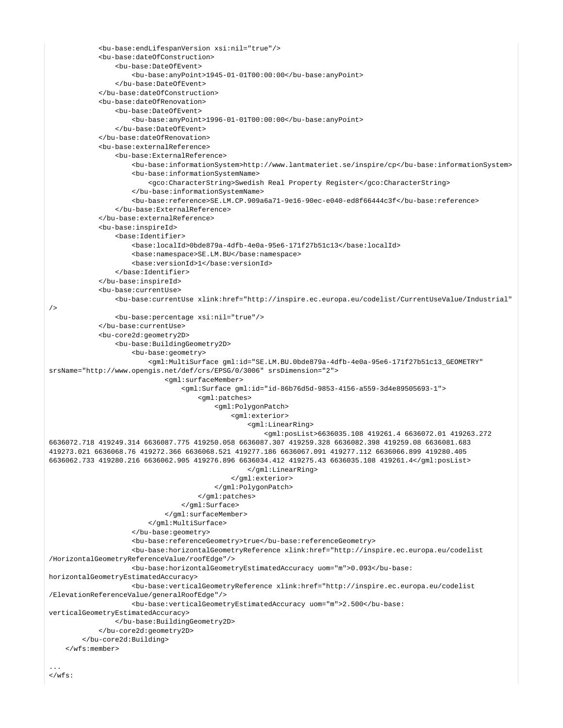```
 <bu-base:endLifespanVersion xsi:nil="true"/>
             <bu-base:dateOfConstruction>
                 <bu-base:DateOfEvent>
                      <bu-base:anyPoint>1945-01-01T00:00:00</bu-base:anyPoint>
                 </bu-base:DateOfEvent>
             </bu-base:dateOfConstruction>
             <bu-base:dateOfRenovation>
                 <bu-base:DateOfEvent>
                     <bu-base:anyPoint>1996-01-01T00:00:00</bu-base:anyPoint>
                 </bu-base:DateOfEvent>
             </bu-base:dateOfRenovation>
             <bu-base:externalReference>
                 <bu-base:ExternalReference>
                      <bu-base:informationSystem>http://www.lantmateriet.se/inspire/cp</bu-base:informationSystem>
                     <bu-base:informationSystemName>
                          <gco:CharacterString>Swedish Real Property Register</gco:CharacterString>
                     </bu-base:informationSystemName>
                      <bu-base:reference>SE.LM.CP.909a6a71-9e16-90ec-e040-ed8f66444c3f</bu-base:reference>
                 </bu-base:ExternalReference>
             </bu-base:externalReference>
             <bu-base:inspireId>
                 <base:Identifier>
                     <base:localId>0bde879a-4dfb-4e0a-95e6-171f27b51c13</base:localId>
                     <base:namespace>SE.LM.BU</base:namespace>
                     <base:versionId>1</base:versionId>
                 </base:Identifier>
             </bu-base:inspireId>
             <bu-base:currentUse>
                 <bu-base:currentUse xlink:href="http://inspire.ec.europa.eu/codelist/CurrentUseValue/Industrial"
/>
                 <bu-base:percentage xsi:nil="true"/>
             </bu-base:currentUse>
             <bu-core2d:geometry2D>
                 <bu-base:BuildingGeometry2D>
                     <bu-base:geometry>
                          <gml:MultiSurface gml:id="SE.LM.BU.0bde879a-4dfb-4e0a-95e6-171f27b51c13_GEOMETRY" 
srsName="http://www.opengis.net/def/crs/EPSG/0/3006" srsDimension="2">
                              <gml:surfaceMember>
                                  <gml:Surface gml:id="id-86b76d5d-9853-4156-a559-3d4e89505693-1">
                                      <gml:patches>
                                          <gml:PolygonPatch>
                                              <gml:exterior>
                                                   <gml:LinearRing>
                                                       <gml:posList>6636035.108 419261.4 6636072.01 419263.272 
6636072.718 419249.314 6636087.775 419250.058 6636087.307 419259.328 6636082.398 419259.08 6636081.683 
419273.021 6636068.76 419272.366 6636068.521 419277.186 6636067.091 419277.112 6636066.899 419280.405 
6636062.733 419280.216 6636062.905 419276.896 6636034.412 419275.43 6636035.108 419261.4</gml:posList>
                                                   </gml:LinearRing>
                                              </gml:exterior>
                                          </gml:PolygonPatch>
                                      </gml:patches>
                                  </gml:Surface>
                              </gml:surfaceMember>
                          </gml:MultiSurface>
                     </bu-base:geometry>
                     <bu-base:referenceGeometry>true</bu-base:referenceGeometry>
                     <bu-base:horizontalGeometryReference xlink:href="http://inspire.ec.europa.eu/codelist
/HorizontalGeometryReferenceValue/roofEdge"/>
                     <bu-base:horizontalGeometryEstimatedAccuracy uom="m">0.093</bu-base:
horizontalGeometryEstimatedAccuracy>
                     <bu-base:verticalGeometryReference xlink:href="http://inspire.ec.europa.eu/codelist
/ElevationReferenceValue/generalRoofEdge"/>
                     <bu-base:verticalGeometryEstimatedAccuracy uom="m">2.500</bu-base:
verticalGeometryEstimatedAccuracy>
                 </bu-base:BuildingGeometry2D>
             </bu-core2d:geometry2D>
         </bu-core2d:Building>
     </wfs:member>
...
```

```
\epsilon/wfs:
```